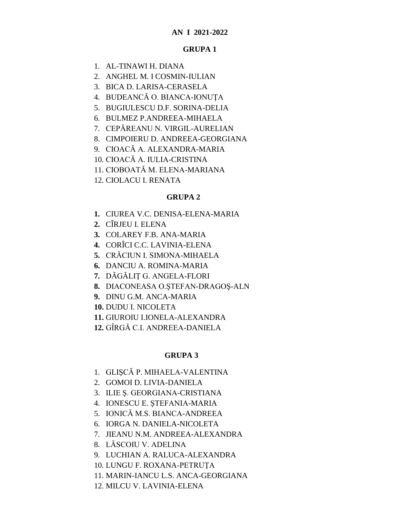# **AN I 2021-2022**

#### **GRUPA 1**

- 1. AL-TINAWI H. DIANA
- 2. ANGHEL M. I COSMIN-IULIAN
- 3. BICA D. LARISA-CERASELA
- 4. BUDEANCĂ O. BIANCA-IONUŢA
- 5. BUGIULESCU D.F. SORINA-DELIA
- 6. BULMEZ P.ANDREEA-MIHAELA
- 7. CEPĂREANU N. VIRGIL-AURELIAN
- 8. CIMPOIERU D. ANDREEA-GEORGIANA
- 9. CIOACĂ A. ALEXANDRA-MARIA
- 10. CIOACĂ A. IULIA-CRISTINA
- 11. CIOBOATĂ M. ELENA-MARIANA
- 12. CIOLACU I. RENATA

#### **GRUPA 2**

- **1.** CIUREA V.C. DENISA-ELENA-MARIA
- **2.** CÎRJEU I. ELENA
- **3.** COLAREY F.B. ANA-MARIA
- **4.** CORÎCI C.C. LAVINIA-ELENA
- **5.** CRĂCIUN I. SIMONA-MIHAELA
- **6.** DANCIU A. ROMINA-MARIA
- **7.** DĂGĂLIŢ G. ANGELA-FLORI
- **8.** DIACONEASA O.ŞTEFAN-DRAGOŞ-ALN
- **9.** DINU G.M. ANCA-MARIA
- **10.** DUDU I. NICOLETA
- **11.** GIUROIU I.IONELA-ALEXANDRA
- **12.** GÎRGĂ C.I. ANDREEA-DANIELA

### **GRUPA 3**

- 1. GLIŞCĂ P. MIHAELA-VALENTINA
- 2. GOMOI D. LIVIA-DANIELA
- 3. ILIE Ş. GEORGIANA-CRISTIANA
- 4. IONESCU E. ŞTEFANIA-MARIA
- 5. IONICĂ M.S. BIANCA-ANDREEA
- 6. IORGA N. DANIELA-NICOLETA
- 7. JIEANU N.M. ANDREEA-ALEXANDRA
- 8. LĂSCOIU V. ADELINA
- 9. LUCHIAN A. RALUCA-ALEXANDRA
- 10. LUNGU F. ROXANA-PETRUŢA
- 11. MARIN-IANCU L.S. ANCA-GEORGIANA
- 12. MILCU V. LAVINIA-ELENA